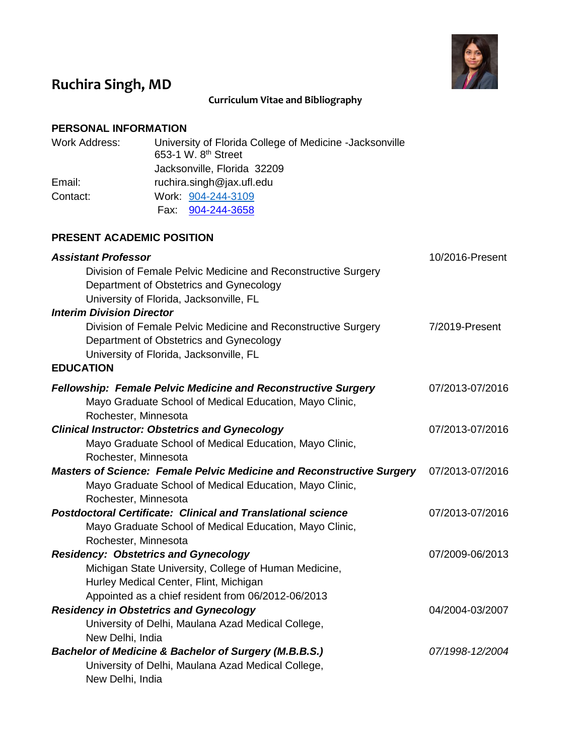

# **Ruchira Singh, MD**

# **Curriculum Vitae and Bibliography**

# **PERSONAL INFORMATION**

| <b>Work Address:</b> | University of Florida College of Medicine -Jacksonville<br>653-1 W. 8 <sup>th</sup> Street |
|----------------------|--------------------------------------------------------------------------------------------|
|                      | Jacksonville, Florida 32209                                                                |
| Email:               | ruchira.singh@jax.ufl.edu                                                                  |
| Contact:             | Work: 904-244-3109                                                                         |
|                      | Fax 904-244-3658                                                                           |
|                      |                                                                                            |

## **PRESENT ACADEMIC POSITION**

| <b>Assistant Professor</b>                                                   | 10/2016-Present |
|------------------------------------------------------------------------------|-----------------|
| Division of Female Pelvic Medicine and Reconstructive Surgery                |                 |
| Department of Obstetrics and Gynecology                                      |                 |
| University of Florida, Jacksonville, FL                                      |                 |
| <b>Interim Division Director</b>                                             |                 |
| Division of Female Pelvic Medicine and Reconstructive Surgery                | 7/2019-Present  |
| Department of Obstetrics and Gynecology                                      |                 |
| University of Florida, Jacksonville, FL                                      |                 |
| <b>EDUCATION</b>                                                             |                 |
| <b>Fellowship: Female Pelvic Medicine and Reconstructive Surgery</b>         | 07/2013-07/2016 |
| Mayo Graduate School of Medical Education, Mayo Clinic,                      |                 |
| Rochester, Minnesota                                                         |                 |
| <b>Clinical Instructor: Obstetrics and Gynecology</b>                        | 07/2013-07/2016 |
| Mayo Graduate School of Medical Education, Mayo Clinic,                      |                 |
| Rochester, Minnesota                                                         |                 |
| <b>Masters of Science: Female Pelvic Medicine and Reconstructive Surgery</b> | 07/2013-07/2016 |
| Mayo Graduate School of Medical Education, Mayo Clinic,                      |                 |
| Rochester, Minnesota                                                         |                 |
| <b>Postdoctoral Certificate: Clinical and Translational science</b>          | 07/2013-07/2016 |
| Mayo Graduate School of Medical Education, Mayo Clinic,                      |                 |
| Rochester, Minnesota                                                         |                 |
| <b>Residency: Obstetrics and Gynecology</b>                                  | 07/2009-06/2013 |
| Michigan State University, College of Human Medicine,                        |                 |
| Hurley Medical Center, Flint, Michigan                                       |                 |
| Appointed as a chief resident from 06/2012-06/2013                           |                 |
| <b>Residency in Obstetrics and Gynecology</b>                                | 04/2004-03/2007 |
| University of Delhi, Maulana Azad Medical College,                           |                 |
| New Delhi, India                                                             |                 |
| <b>Bachelor of Medicine &amp; Bachelor of Surgery (M.B.B.S.)</b>             | 07/1998-12/2004 |
| University of Delhi, Maulana Azad Medical College,                           |                 |
| New Delhi, India                                                             |                 |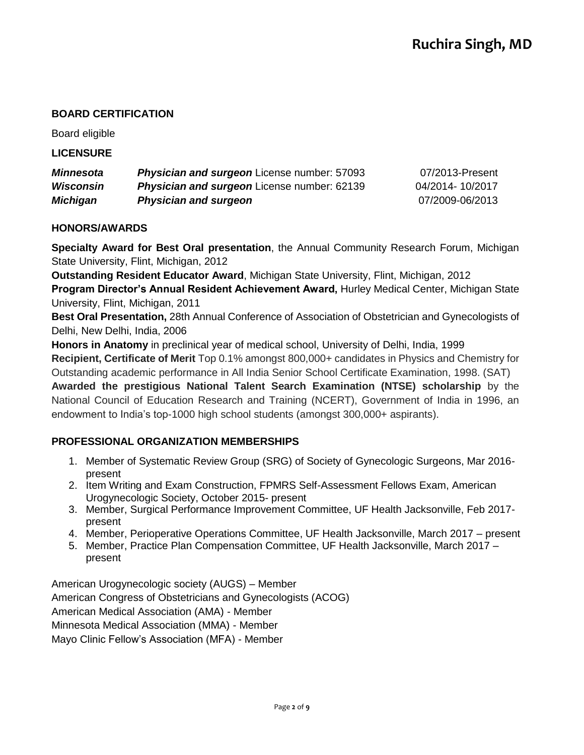## **BOARD CERTIFICATION**

Board eligible

#### **LICENSURE**

| <b>Minnesota</b> | <b>Physician and surgeon</b> License number: 57093 | 07/2013-Present |
|------------------|----------------------------------------------------|-----------------|
| Wisconsin        | <b>Physician and surgeon</b> License number: 62139 | 04/2014-10/2017 |
| Michigan         | <b>Physician and surgeon</b>                       | 07/2009-06/2013 |

#### **HONORS/AWARDS**

**Specialty Award for Best Oral presentation**, the Annual Community Research Forum, Michigan State University, Flint, Michigan, 2012

**Outstanding Resident Educator Award**, Michigan State University, Flint, Michigan, 2012 **Program Director's Annual Resident Achievement Award,** Hurley Medical Center, Michigan State University, Flint, Michigan, 2011

**Best Oral Presentation,** 28th Annual Conference of Association of Obstetrician and Gynecologists of Delhi, New Delhi, India, 2006

**Honors in Anatomy** in preclinical year of medical school, University of Delhi, India, 1999

**Recipient, Certificate of Merit** Top 0.1% amongst 800,000+ candidates in Physics and Chemistry for Outstanding academic performance in All India Senior School Certificate Examination, 1998. (SAT)

**Awarded the prestigious National Talent Search Examination (NTSE) scholarship** by the National Council of Education Research and Training (NCERT), Government of India in 1996, an endowment to India's top-1000 high school students (amongst 300,000+ aspirants).

#### **PROFESSIONAL ORGANIZATION MEMBERSHIPS**

- 1. Member of Systematic Review Group (SRG) of Society of Gynecologic Surgeons, Mar 2016 present
- 2. Item Writing and Exam Construction, FPMRS Self-Assessment Fellows Exam, American Urogynecologic Society, October 2015- present
- 3. Member, Surgical Performance Improvement Committee, UF Health Jacksonville, Feb 2017 present
- 4. Member, Perioperative Operations Committee, UF Health Jacksonville, March 2017 present
- 5. Member, Practice Plan Compensation Committee, UF Health Jacksonville, March 2017 present

American Urogynecologic society (AUGS) – Member American Congress of Obstetricians and Gynecologists (ACOG) American Medical Association (AMA) - Member Minnesota Medical Association (MMA) - Member Mayo Clinic Fellow's Association (MFA) - Member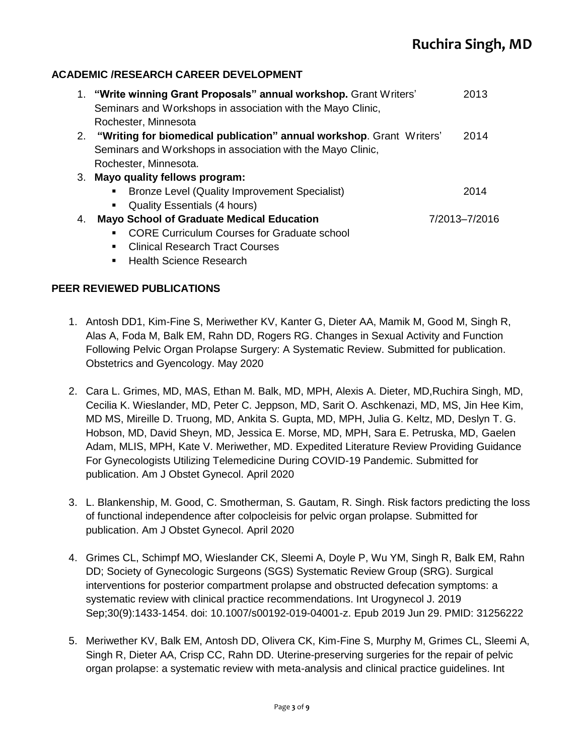## **ACADEMIC /RESEARCH CAREER DEVELOPMENT**

| 1. "Write winning Grant Proposals" annual workshop. Grant Writers'<br>Seminars and Workshops in association with the Mayo Clinic, | 2013                 |
|-----------------------------------------------------------------------------------------------------------------------------------|----------------------|
|                                                                                                                                   |                      |
| 2. "Writing for biomedical publication" annual workshop. Grant Writers'                                                           | 2014                 |
| Seminars and Workshops in association with the Mayo Clinic,                                                                       |                      |
| Rochester, Minnesota.                                                                                                             |                      |
| 3. Mayo quality fellows program:                                                                                                  |                      |
| Bronze Level (Quality Improvement Specialist)<br>$\blacksquare$                                                                   | 2014                 |
| <b>Quality Essentials (4 hours)</b><br>п.                                                                                         |                      |
| <b>Mayo School of Graduate Medical Education</b>                                                                                  | 7/2013-7/2016        |
| <b>CORE Curriculum Courses for Graduate school</b>                                                                                |                      |
| <b>Clinical Research Tract Courses</b>                                                                                            |                      |
|                                                                                                                                   | Rochester, Minnesota |

■ Health Science Research

#### **PEER REVIEWED PUBLICATIONS**

- 1. Antosh DD1, Kim-Fine S, Meriwether KV, Kanter G, Dieter AA, Mamik M, Good M, Singh R, Alas A, Foda M, Balk EM, Rahn DD, Rogers RG. Changes in Sexual Activity and Function Following Pelvic Organ Prolapse Surgery: A Systematic Review. Submitted for publication. Obstetrics and Gyencology. May 2020
- 2. Cara L. Grimes, MD, MAS, Ethan M. Balk, MD, MPH, Alexis A. Dieter, MD,Ruchira Singh, MD, Cecilia K. Wieslander, MD, Peter C. Jeppson, MD, Sarit O. Aschkenazi, MD, MS, Jin Hee Kim, MD MS, Mireille D. Truong, MD, Ankita S. Gupta, MD, MPH, Julia G. Keltz, MD, Deslyn T. G. Hobson, MD, David Sheyn, MD, Jessica E. Morse, MD, MPH, Sara E. Petruska, MD, Gaelen Adam, MLIS, MPH, Kate V. Meriwether, MD. Expedited Literature Review Providing Guidance For Gynecologists Utilizing Telemedicine During COVID-19 Pandemic. Submitted for publication. Am J Obstet Gynecol. April 2020
- 3. L. Blankenship, M. Good, C. Smotherman, S. Gautam, R. Singh. Risk factors predicting the loss of functional independence after colpocleisis for pelvic organ prolapse. Submitted for publication. Am J Obstet Gynecol. April 2020
- 4. Grimes CL, Schimpf MO, Wieslander CK, Sleemi A, Doyle P, Wu YM, Singh R, Balk EM, Rahn DD; Society of Gynecologic Surgeons (SGS) Systematic Review Group (SRG). Surgical interventions for posterior compartment prolapse and obstructed defecation symptoms: a systematic review with clinical practice recommendations. Int Urogynecol J. 2019 Sep;30(9):1433-1454. doi: 10.1007/s00192-019-04001-z. Epub 2019 Jun 29. PMID: 31256222
- 5. Meriwether KV, Balk EM, Antosh DD, Olivera CK, Kim-Fine S, Murphy M, Grimes CL, Sleemi A, Singh R, Dieter AA, Crisp CC, Rahn DD. Uterine-preserving surgeries for the repair of pelvic organ prolapse: a systematic review with meta-analysis and clinical practice guidelines. Int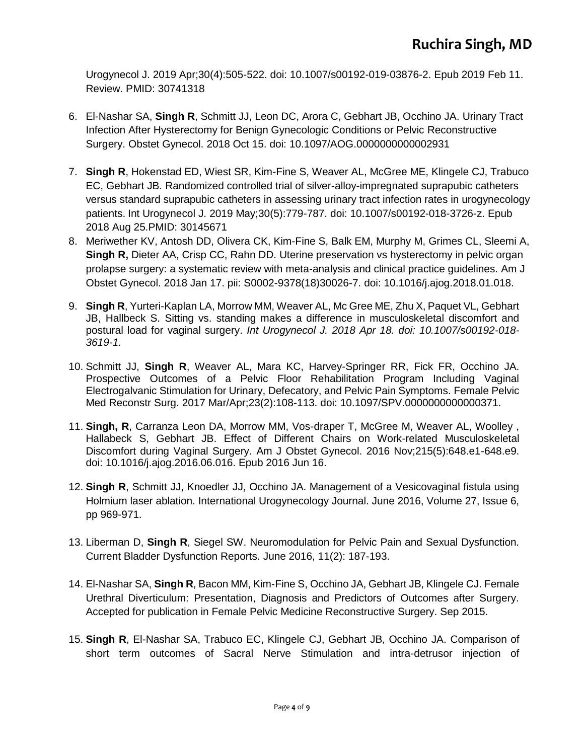Urogynecol J. 2019 Apr;30(4):505-522. doi: 10.1007/s00192-019-03876-2. Epub 2019 Feb 11. Review. PMID: 30741318

- 6. El-Nashar SA, **Singh R**, Schmitt JJ, Leon DC, Arora C, Gebhart JB, Occhino JA. Urinary Tract Infection After Hysterectomy for Benign Gynecologic Conditions or Pelvic Reconstructive Surgery. Obstet Gynecol. 2018 Oct 15. doi: 10.1097/AOG.0000000000002931
- 7. **Singh R**, Hokenstad ED, Wiest SR, Kim-Fine S, Weaver AL, McGree ME, Klingele CJ, Trabuco EC, Gebhart JB. Randomized controlled trial of silver-alloy-impregnated suprapubic catheters versus standard suprapubic catheters in assessing urinary tract infection rates in urogynecology patients. Int Urogynecol J. 2019 May;30(5):779-787. doi: 10.1007/s00192-018-3726-z. Epub 2018 Aug 25.PMID: 30145671
- 8. Meriwether KV, Antosh DD, Olivera CK, Kim-Fine S, Balk EM, Murphy M, Grimes CL, Sleemi A, **Singh R,** Dieter AA, Crisp CC, Rahn DD. Uterine preservation vs hysterectomy in pelvic organ prolapse surgery: a systematic review with meta-analysis and clinical practice guidelines. Am J Obstet Gynecol. 2018 Jan 17. pii: S0002-9378(18)30026-7. doi: 10.1016/j.ajog.2018.01.018.
- 9. **Singh R**, Yurteri-Kaplan LA, Morrow MM, Weaver AL, Mc Gree ME, Zhu X, Paquet VL, Gebhart JB, Hallbeck S. Sitting vs. standing makes a difference in musculoskeletal discomfort and postural load for vaginal surgery. *Int Urogynecol J. 2018 Apr 18. doi: 10.1007/s00192-018- 3619-1.*
- 10. Schmitt JJ, **Singh R**, Weaver AL, Mara KC, Harvey-Springer RR, Fick FR, Occhino JA. Prospective Outcomes of a Pelvic Floor Rehabilitation Program Including Vaginal Electrogalvanic Stimulation for Urinary, Defecatory, and Pelvic Pain Symptoms. Female Pelvic Med Reconstr Surg. 2017 Mar/Apr;23(2):108-113. doi: 10.1097/SPV.0000000000000371.
- 11. **Singh, R**, Carranza Leon DA, Morrow MM, Vos-draper T, McGree M, Weaver AL, Woolley , Hallabeck S, Gebhart JB. Effect of Different Chairs on Work-related Musculoskeletal Discomfort during Vaginal Surgery. Am J Obstet Gynecol. 2016 Nov;215(5):648.e1-648.e9. doi: 10.1016/j.ajog.2016.06.016. Epub 2016 Jun 16.
- 12. **Singh R**, Schmitt JJ, Knoedler JJ, Occhino JA. Management of a Vesicovaginal fistula using Holmium laser ablation. International Urogynecology Journal. June 2016, Volume 27, Issue 6, pp 969-971.
- 13. Liberman D, **Singh R**, Siegel SW. Neuromodulation for Pelvic Pain and Sexual Dysfunction. Current Bladder Dysfunction Reports. June 2016, 11(2): 187-193.
- 14. El-Nashar SA, **Singh R**, Bacon MM, Kim-Fine S, Occhino JA, Gebhart JB, Klingele CJ. Female Urethral Diverticulum: Presentation, Diagnosis and Predictors of Outcomes after Surgery. Accepted for publication in Female Pelvic Medicine Reconstructive Surgery. Sep 2015.
- 15. **Singh R**, El-Nashar SA, Trabuco EC, Klingele CJ, Gebhart JB, Occhino JA. Comparison of short term outcomes of Sacral Nerve Stimulation and intra-detrusor injection of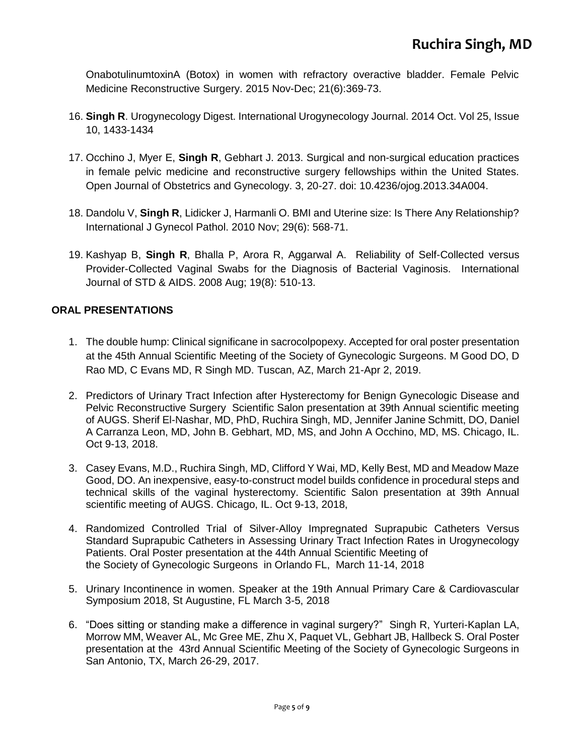OnabotulinumtoxinA (Botox) in women with refractory overactive bladder. Female Pelvic Medicine Reconstructive Surgery. 2015 Nov-Dec; 21(6):369-73.

- 16. **Singh R**. Urogynecology Digest. International Urogynecology Journal. 2014 Oct. Vol 25, Issue 10, 1433-1434
- 17. Occhino J, Myer E, **Singh R**, Gebhart J. 2013. Surgical and non-surgical education practices in female pelvic medicine and reconstructive surgery fellowships within the United States. Open Journal of Obstetrics and Gynecology. 3, 20-27. doi: [10.4236/ojog.2013.34A004.](http://dx.doi.org/10.4236/ojog.2013.34A004)
- 18. Dandolu V, **Singh R**, Lidicker J, Harmanli O. BMI and Uterine size: Is There Any Relationship? International J Gynecol Pathol. 2010 Nov; 29(6): 568-71.
- 19. Kashyap B, **Singh R**, Bhalla P, Arora R, Aggarwal A. Reliability of Self-Collected versus Provider-Collected Vaginal Swabs for the Diagnosis of Bacterial Vaginosis. International Journal of STD & AIDS. 2008 Aug; 19(8): 510-13.

#### **ORAL PRESENTATIONS**

- 1. The double hump: Clinical significane in sacrocolpopexy. Accepted for oral poster presentation at the 45th Annual Scientific Meeting of the Society of Gynecologic Surgeons. M Good DO, D Rao MD, C Evans MD, R Singh MD. Tuscan, AZ, March 21-Apr 2, 2019.
- 2. Predictors of Urinary Tract Infection after Hysterectomy for Benign Gynecologic Disease and Pelvic Reconstructive Surgery Scientific Salon presentation at 39th Annual scientific meeting of AUGS. Sherif El-Nashar, MD, PhD, Ruchira Singh, MD, Jennifer Janine Schmitt, DO, Daniel A Carranza Leon, MD, John B. Gebhart, MD, MS, and John A Occhino, MD, MS. Chicago, IL. Oct 9-13, 2018.
- 3. Casey Evans, M.D., Ruchira Singh, MD, Clifford Y Wai, MD, Kelly Best, MD and Meadow Maze Good, DO. An inexpensive, easy-to-construct model builds confidence in procedural steps and technical skills of the vaginal hysterectomy. Scientific Salon presentation at 39th Annual scientific meeting of AUGS. Chicago, IL. Oct 9-13, 2018,
- 4. Randomized Controlled Trial of Silver-Alloy Impregnated Suprapubic Catheters Versus Standard Suprapubic Catheters in Assessing Urinary Tract Infection Rates in Urogynecology Patients. Oral Poster presentation at the 44th Annual Scientific Meeting of the Society of Gynecologic Surgeons in Orlando FL, March 11-14, 2018
- 5. Urinary Incontinence in women. Speaker at the 19th Annual Primary Care & Cardiovascular Symposium 2018, St Augustine, FL March 3-5, 2018
- 6. "Does sitting or standing make a difference in vaginal surgery?" Singh R, Yurteri-Kaplan LA, Morrow MM, Weaver AL, Mc Gree ME, Zhu X, Paquet VL, Gebhart JB, Hallbeck S. Oral Poster presentation at the 43rd Annual Scientific Meeting of the Society of Gynecologic Surgeons in San Antonio, TX, March 26-29, 2017.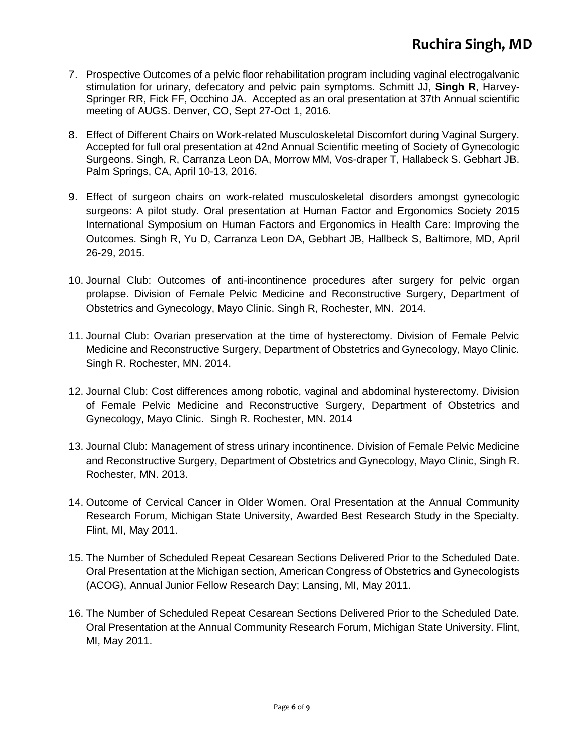- 7. Prospective Outcomes of a pelvic floor rehabilitation program including vaginal electrogalvanic stimulation for urinary, defecatory and pelvic pain symptoms. Schmitt JJ, **Singh R**, Harvey-Springer RR, Fick FF, Occhino JA. Accepted as an oral presentation at 37th Annual scientific meeting of AUGS. Denver, CO, Sept 27-Oct 1, 2016.
- 8. Effect of Different Chairs on Work-related Musculoskeletal Discomfort during Vaginal Surgery. Accepted for full oral presentation at 42nd Annual Scientific meeting of Society of Gynecologic Surgeons. Singh, R, Carranza Leon DA, Morrow MM, Vos-draper T, Hallabeck S. Gebhart JB. Palm Springs, CA, April 10-13, 2016.
- 9. Effect of surgeon chairs on work-related musculoskeletal disorders amongst gynecologic surgeons: A pilot study. Oral presentation at Human Factor and Ergonomics Society 2015 International Symposium on Human Factors and Ergonomics in Health Care: Improving the Outcomes. Singh R, Yu D, Carranza Leon DA, Gebhart JB, Hallbeck S, Baltimore, MD, April 26-29, 2015.
- 10. Journal Club: Outcomes of anti-incontinence procedures after surgery for pelvic organ prolapse. Division of Female Pelvic Medicine and Reconstructive Surgery, Department of Obstetrics and Gynecology, Mayo Clinic. Singh R, Rochester, MN. 2014.
- 11. Journal Club: Ovarian preservation at the time of hysterectomy. Division of Female Pelvic Medicine and Reconstructive Surgery, Department of Obstetrics and Gynecology, Mayo Clinic. Singh R. Rochester, MN. 2014.
- 12. Journal Club: Cost differences among robotic, vaginal and abdominal hysterectomy. Division of Female Pelvic Medicine and Reconstructive Surgery, Department of Obstetrics and Gynecology, Mayo Clinic. Singh R. Rochester, MN. 2014
- 13. Journal Club: Management of stress urinary incontinence. Division of Female Pelvic Medicine and Reconstructive Surgery, Department of Obstetrics and Gynecology, Mayo Clinic, Singh R. Rochester, MN. 2013.
- 14. Outcome of Cervical Cancer in Older Women. Oral Presentation at the Annual Community Research Forum, Michigan State University, Awarded Best Research Study in the Specialty. Flint, MI, May 2011.
- 15. The Number of Scheduled Repeat Cesarean Sections Delivered Prior to the Scheduled Date. Oral Presentation at the Michigan section, American Congress of Obstetrics and Gynecologists (ACOG), Annual Junior Fellow Research Day; Lansing, MI, May 2011.
- 16. The Number of Scheduled Repeat Cesarean Sections Delivered Prior to the Scheduled Date*.* Oral Presentation at the Annual Community Research Forum, Michigan State University. Flint, MI, May 2011.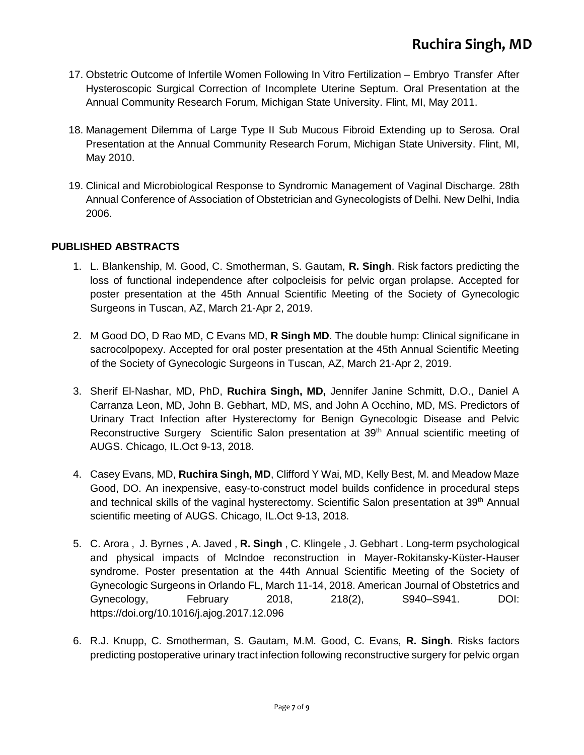- 17. Obstetric Outcome of Infertile Women Following In Vitro Fertilization Embryo Transfer After Hysteroscopic Surgical Correction of Incomplete Uterine Septum*.* Oral Presentation at the Annual Community Research Forum, Michigan State University. Flint, MI, May 2011.
- 18. Management Dilemma of Large Type II Sub Mucous Fibroid Extending up to Serosa*.* Oral Presentation at the Annual Community Research Forum, Michigan State University. Flint, MI, May 2010.
- 19. Clinical and Microbiological Response to Syndromic Management of Vaginal Discharge. 28th Annual Conference of Association of Obstetrician and Gynecologists of Delhi. New Delhi, India 2006.

#### **PUBLISHED ABSTRACTS**

- 1. L. Blankenship, M. Good, C. Smotherman, S. Gautam, **R. Singh**. Risk factors predicting the loss of functional independence after colpocleisis for pelvic organ prolapse. Accepted for poster presentation at the 45th Annual Scientific Meeting of the Society of Gynecologic Surgeons in Tuscan, AZ, March 21-Apr 2, 2019.
- 2. M Good DO, D Rao MD, C Evans MD, **R Singh MD**. The double hump: Clinical significane in sacrocolpopexy. Accepted for oral poster presentation at the 45th Annual Scientific Meeting of the Society of Gynecologic Surgeons in Tuscan, AZ, March 21-Apr 2, 2019.
- 3. Sherif El-Nashar, MD, PhD, **Ruchira Singh, MD,** Jennifer Janine Schmitt, D.O., Daniel A Carranza Leon, MD, John B. Gebhart, MD, MS, and John A Occhino, MD, MS. [Predictors of](https://augs.confex.com/augs/2018/meetingapp.cgi/Paper/1401)  [Urinary Tract Infection after Hysterectomy for Benign Gynecologic Disease and Pelvic](https://augs.confex.com/augs/2018/meetingapp.cgi/Paper/1401)  [Reconstructive Surgery](https://augs.confex.com/augs/2018/meetingapp.cgi/Paper/1401) Scientific Salon presentation at 39<sup>th</sup> Annual scientific meeting of AUGS. Chicago, IL.Oct 9-13, 2018.
- 4. Casey Evans, MD, **Ruchira Singh, MD**, Clifford Y Wai, MD, Kelly Best, M. and Meadow Maze Good, DO. [An inexpensive, easy-to-construct model builds confidence in procedural steps](https://augs.confex.com/augs/2018/meetingapp.cgi/Paper/1543)  [and technical skills of the vaginal hysterectomy. S](https://augs.confex.com/augs/2018/meetingapp.cgi/Paper/1543)cientific Salon presentation at 39<sup>th</sup> Annual scientific meeting of AUGS. Chicago, IL.Oct 9-13, 2018.
- 5. C. Arora , J. Byrnes , A. Javed , **R. Singh** , C. Klingele , J. Gebhart . Long-term psychological and physical impacts of McIndoe reconstruction in Mayer-Rokitansky-Küster-Hauser syndrome. Poster presentation at the 44th Annual Scientific Meeting of the Society of Gynecologic Surgeons in Orlando FL, March 11-14, 2018. American Journal of Obstetrics and Gynecology, February 2018, 218(2), S940–S941. DOI: https://doi.org/10.1016/j.ajog.2017.12.096
- 6. R.J. Knupp, C. Smotherman, S. Gautam, M.M. Good, C. Evans, **R. Singh**. Risks factors predicting postoperative urinary tract infection following reconstructive surgery for pelvic organ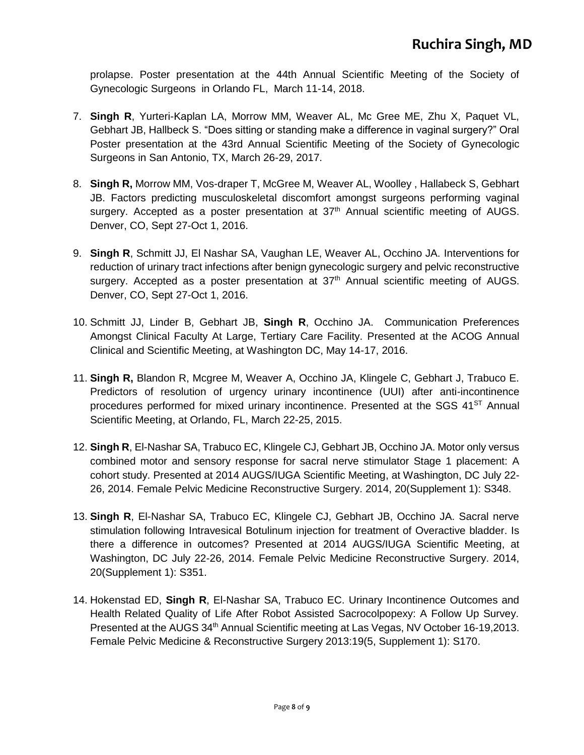prolapse. Poster presentation at the 44th Annual Scientific Meeting of the Society of Gynecologic Surgeons in Orlando FL, March 11-14, 2018.

- 7. **Singh R**, Yurteri-Kaplan LA, Morrow MM, Weaver AL, Mc Gree ME, Zhu X, Paquet VL, Gebhart JB, Hallbeck S. "Does sitting or standing make a difference in vaginal surgery?" Oral Poster presentation at the 43rd Annual Scientific Meeting of the Society of Gynecologic Surgeons in San Antonio, TX, March 26-29, 2017.
- 8. **Singh R,** Morrow MM, Vos-draper T, McGree M, Weaver AL, Woolley , Hallabeck S, Gebhart JB. Factors predicting musculoskeletal discomfort amongst surgeons performing vaginal surgery. Accepted as a poster presentation at 37<sup>th</sup> Annual scientific meeting of AUGS. Denver, CO, Sept 27-Oct 1, 2016.
- 9. **Singh R**, Schmitt JJ, El Nashar SA, Vaughan LE, Weaver AL, Occhino JA. Interventions for reduction of urinary tract infections after benign gynecologic surgery and pelvic reconstructive surgery. Accepted as a poster presentation at  $37<sup>th</sup>$  Annual scientific meeting of AUGS. Denver, CO, Sept 27-Oct 1, 2016.
- 10. Schmitt JJ, Linder B, Gebhart JB, **Singh R**, Occhino JA. Communication Preferences Amongst Clinical Faculty At Large, Tertiary Care Facility. Presented at the ACOG Annual Clinical and Scientific Meeting, at Washington DC, May 14-17, 2016.
- 11. **Singh R,** Blandon R, Mcgree M, Weaver A, Occhino JA, Klingele C, Gebhart J, Trabuco E. Predictors of resolution of urgency urinary incontinence (UUI) after anti-incontinence procedures performed for mixed urinary incontinence. Presented at the SGS 41<sup>ST</sup> Annual Scientific Meeting, at Orlando, FL, March 22-25, 2015.
- 12. **Singh R**, El-Nashar SA, Trabuco EC, Klingele CJ, Gebhart JB, Occhino JA. Motor only versus combined motor and sensory response for sacral nerve stimulator Stage 1 placement: A cohort study. Presented at 2014 AUGS/IUGA Scientific Meeting, at Washington, DC July 22- 26, 2014. Female Pelvic Medicine Reconstructive Surgery. 2014, 20(Supplement 1): S348.
- 13. **Singh R**, El-Nashar SA, Trabuco EC, Klingele CJ, Gebhart JB, Occhino JA. Sacral nerve stimulation following Intravesical Botulinum injection for treatment of Overactive bladder. Is there a difference in outcomes? Presented at 2014 AUGS/IUGA Scientific Meeting, at Washington, DC July 22-26, 2014. Female Pelvic Medicine Reconstructive Surgery. 2014, 20(Supplement 1): S351.
- 14. Hokenstad ED, **Singh R**, El-Nashar SA, Trabuco EC. Urinary Incontinence Outcomes and Health Related Quality of Life After Robot Assisted Sacrocolpopexy: A Follow Up Survey. Presented at the AUGS 34th Annual Scientific meeting at Las Vegas, NV October 16-19,2013. Female Pelvic Medicine & Reconstructive Surgery 2013:19(5, Supplement 1): S170.